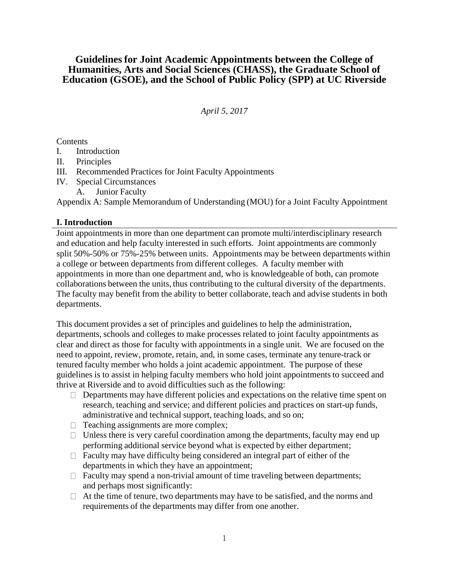# **Guidelines for Joint Academic Appointments between the College of Humanities, Arts and Social Sciences (CHASS), the Graduate School of Education (GSOE), and the School of Public Policy (SPP) at UC Riverside**

# *April 5, 2017*

**Contents** 

- I. Introduction
- II. Principles
- III. Recommended Practices for Joint Faculty Appointments
- IV. Special Circumstances
	- A. Junior Faculty

Appendix A: Sample Memorandum of Understanding (MOU) for a Joint Faculty Appointment

## **I. Introduction**

Joint appointments in more than one department can promote multi/interdisciplinary research and education and help faculty interested in such efforts. Joint appointments are commonly split 50%-50% or 75%-25% between units. Appointments may be between departments within a college or between departments from different colleges. A faculty member with appointments in more than one department and, who is knowledgeable of both, can promote collaborations between the units, thus contributing to the cultural diversity of the departments. The faculty may benefit from the ability to better collaborate, teach and advise students in both departments.

This document provides a set of principles and guidelines to help the administration, departments, schools and colleges to make processes related to joint faculty appointments as clear and direct as those for faculty with appointments in a single unit. We are focused on the need to appoint, review, promote, retain, and, in some cases, terminate any tenure-track or tenured faculty member who holds a joint academic appointment. The purpose of these guidelines is to assist in helping faculty members who hold joint appointments to succeed and thrive at Riverside and to avoid difficulties such as the following:

- $\Box$  Departments may have different policies and expectations on the relative time spent on research, teaching and service; and different policies and practices on start-up funds, administrative and technical support, teaching loads, and so on;
- $\Box$  Teaching assignments are more complex;
- $\Box$  Unless there is very careful coordination among the departments, faculty may end up performing additional service beyond what is expected by either department;
- $\Box$  Faculty may have difficulty being considered an integral part of either of the departments in which they have an appointment;
- $\Box$  Faculty may spend a non-trivial amount of time traveling between departments; and perhaps most significantly:
- $\Box$  At the time of tenure, two departments may have to be satisfied, and the norms and requirements of the departments may differ from one another.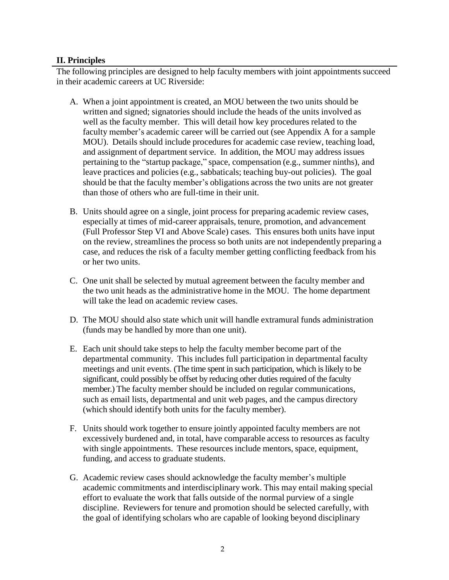# **II. Principles**

The following principles are designed to help faculty members with joint appointments succeed in their academic careers at UC Riverside:

- A. When a joint appointment is created, an MOU between the two units should be written and signed; signatories should include the heads of the units involved as well as the faculty member. This will detail how key procedures related to the faculty member's academic career will be carried out (see Appendix A for a sample MOU). Details should include procedures for academic case review, teaching load, and assignment of department service. In addition, the MOU may address issues pertaining to the "startup package," space, compensation (e.g., summer ninths), and leave practices and policies (e.g., sabbaticals; teaching buy-out policies). The goal should be that the faculty member's obligations across the two units are not greater than those of others who are full-time in their unit.
- B. Units should agree on a single, joint process for preparing academic review cases, especially at times of mid-career appraisals, tenure, promotion, and advancement (Full Professor Step VI and Above Scale) cases. This ensures both units have input on the review, streamlines the process so both units are not independently preparing a case, and reduces the risk of a faculty member getting conflicting feedback from his or her two units.
- C. One unit shall be selected by mutual agreement between the faculty member and the two unit heads as the administrative home in the MOU. The home department will take the lead on academic review cases.
- D. The MOU should also state which unit will handle extramural funds administration (funds may be handled by more than one unit).
- E. Each unit should take steps to help the faculty member become part of the departmental community. This includes full participation in departmental faculty meetings and unit events. (The time spent in such participation, which is likely to be significant, could possibly be offset by reducing other duties required of the faculty member.) The faculty member should be included on regular communications, such as email lists, departmental and unit web pages, and the campus directory (which should identify both units for the faculty member).
- F. Units should work together to ensure jointly appointed faculty members are not excessively burdened and, in total, have comparable access to resources as faculty with single appointments. These resources include mentors, space, equipment, funding, and access to graduate students.
- G. Academic review cases should acknowledge the faculty member's multiple academic commitments and interdisciplinary work. This may entail making special effort to evaluate the work that falls outside of the normal purview of a single discipline. Reviewers for tenure and promotion should be selected carefully, with the goal of identifying scholars who are capable of looking beyond disciplinary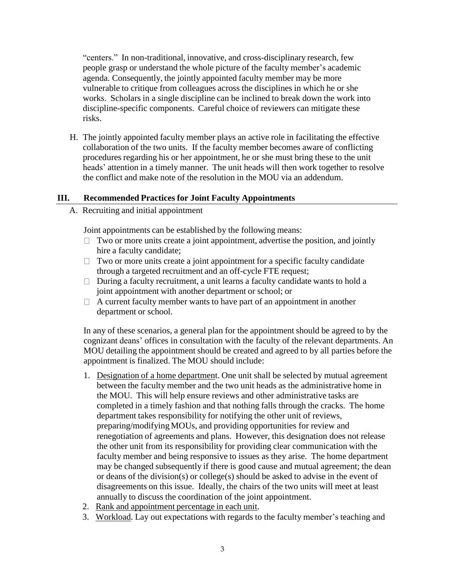"centers." In non-traditional, innovative, and cross-disciplinary research, few people grasp or understand the whole picture of the faculty member's academic agenda. Consequently, the jointly appointed faculty member may be more vulnerable to critique from colleagues across the disciplines in which he or she works. Scholars in a single discipline can be inclined to break down the work into discipline-specific components. Careful choice of reviewers can mitigate these risks.

H. The jointly appointed faculty member plays an active role in facilitating the effective collaboration of the two units. If the faculty member becomes aware of conflicting procedures regarding his or her appointment, he or she must bring these to the unit heads' attention in a timely manner. The unit heads will then work together to resolve the conflict and make note of the resolution in the MOU via an addendum.

### **III. Recommended Practices for Joint Faculty Appointments**

A. Recruiting and initial appointment

Joint appointments can be established by the following means:

- $\Box$  Two or more units create a joint appointment, advertise the position, and jointly hire a faculty candidate;
- $\Box$  Two or more units create a joint appointment for a specific faculty candidate through a targeted recruitment and an off-cycle FTE request;
- $\Box$  During a faculty recruitment, a unit learns a faculty candidate wants to hold a joint appointment with another department or school; or
- $\Box$  A current faculty member wants to have part of an appointment in another department or school.

In any of these scenarios, a general plan for the appointmentshould be agreed to by the cognizant deans' offices in consultation with the faculty of the relevant departments. An MOU detailing the appointment should be created and agreed to by all parties before the appointment is finalized. The MOU should include:

- 1. Designation of a home department. One unit shall be selected by mutual agreement between the faculty member and the two unit heads as the administrative home in the MOU. This will help ensure reviews and other administrative tasks are completed in a timely fashion and that nothing falls through the cracks. The home department takes responsibility for notifying the other unit of reviews, preparing/modifying MOUs, and providing opportunities for review and renegotiation of agreements and plans. However, this designation does not release the other unit from its responsibility for providing clear communication with the faculty member and being responsive to issues as they arise. The home department may be changed subsequently if there is good cause and mutual agreement; the dean or deans of the division(s) or college(s) should be asked to advise in the event of disagreements on this issue. Ideally, the chairs of the two units will meet at least annually to discuss the coordination of the joint appointment.
- 2. Rank and appointment percentage in each unit.
- 3. Workload. Lay out expectations with regards to the faculty member's teaching and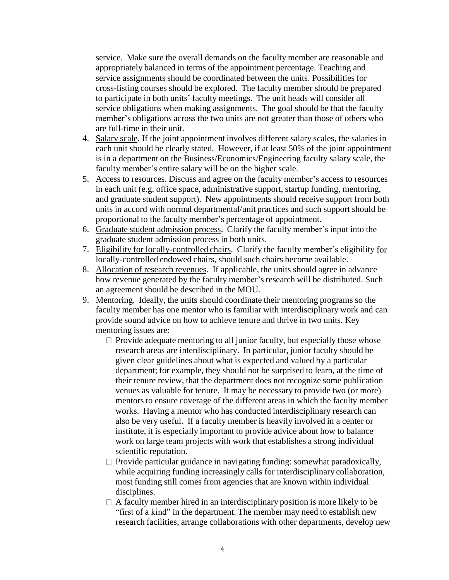service. Make sure the overall demands on the faculty member are reasonable and appropriately balanced in terms of the appointment percentage. Teaching and service assignments should be coordinated between the units. Possibilities for cross-listing courses should be explored. The faculty member should be prepared to participate in both units' faculty meetings. The unit heads will consider all service obligations when making assignments. The goal should be that the faculty member's obligations across the two units are not greater than those of others who are full-time in their unit.

- 4. Salary scale. If the joint appointment involves different salary scales, the salaries in each unit should be clearly stated. However, if at least 50% of the joint appointment is in a department on the Business/Economics/Engineering faculty salary scale, the faculty member's entire salary will be on the higher scale.
- 5. Access to resources. Discuss and agree on the faculty member's access to resources in each unit (e.g. office space, administrative support, startup funding, mentoring, and graduate student support). New appointments should receive support from both units in accord with normal departmental/unit practices and such support should be proportional to the faculty member's percentage of appointment.
- 6. Graduate student admission process. Clarify the faculty member's input into the graduate student admission process in both units.
- 7. Eligibility for locally-controlled chairs. Clarify the faculty member's eligibility for locally-controlled endowed chairs, should such chairs become available.
- 8. Allocation of research revenues. If applicable, the units should agree in advance how revenue generated by the faculty member's research will be distributed. Such an agreement should be described in the MOU.
- 9. Mentoring. Ideally, the units should coordinate their mentoring programs so the faculty member has one mentor who is familiar with interdisciplinary work and can provide sound advice on how to achieve tenure and thrive in two units. Key mentoring issues are:
	- $\Box$  Provide adequate mentoring to all junior faculty, but especially those whose research areas are interdisciplinary. In particular, junior faculty should be given clear guidelines about what is expected and valued by a particular department; for example, they should not be surprised to learn, at the time of their tenure review, that the department does not recognize some publication venues as valuable for tenure. It may be necessary to provide two (or more) mentors to ensure coverage of the different areas in which the faculty member works. Having a mentor who has conducted interdisciplinary research can also be very useful. If a faculty member is heavily involved in a center or institute, it is especially important to provide advice about how to balance work on large team projects with work that establishes a strong individual scientific reputation.
	- $\Box$  Provide particular guidance in navigating funding: somewhat paradoxically, while acquiring funding increasingly calls for interdisciplinary collaboration, most funding still comes from agencies that are known within individual disciplines.
	- $\Box$  A faculty member hired in an interdisciplinary position is more likely to be "first of a kind" in the department. The member may need to establish new research facilities, arrange collaborations with other departments, develop new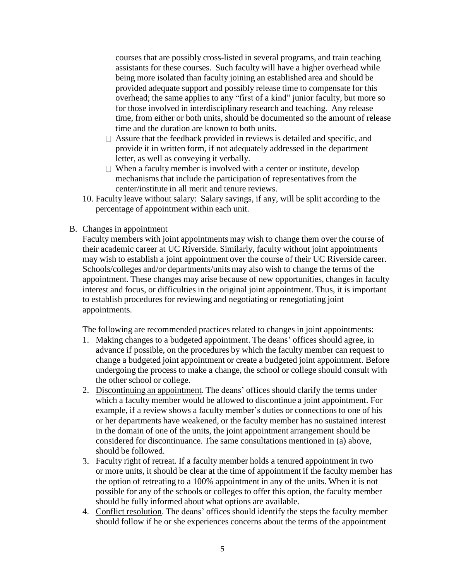courses that are possibly cross-listed in several programs, and train teaching assistants for these courses. Such faculty will have a higher overhead while being more isolated than faculty joining an established area and should be provided adequate support and possibly release time to compensate for this overhead; the same applies to any "first of a kind" junior faculty, but more so for those involved in interdisciplinary research and teaching. Any release time, from either or both units, should be documented so the amount of release time and the duration are known to both units.

- $\Box$  Assure that the feedback provided in reviews is detailed and specific, and provide it in written form, if not adequately addressed in the department letter, as well as conveying it verbally.
- $\Box$  When a faculty member is involved with a center or institute, develop mechanisms that include the participation of representatives from the center/institute in all merit and tenure reviews.
- 10. Faculty leave without salary: Salary savings, if any, will be split according to the percentage of appointment within each unit.
- B. Changes in appointment

Faculty members with joint appointments may wish to change them over the course of their academic career at UC Riverside. Similarly, faculty without joint appointments may wish to establish a joint appointment over the course of their UC Riverside career. Schools/colleges and/or departments/units may also wish to change the terms of the appointment. These changes may arise because of new opportunities, changes in faculty interest and focus, or difficulties in the original joint appointment. Thus, it is important to establish procedures for reviewing and negotiating or renegotiating joint appointments.

The following are recommended practices related to changes in joint appointments:

- 1. Making changes to a budgeted appointment. The deans' offices should agree, in advance if possible, on the procedures by which the faculty member can request to change a budgeted joint appointment or create a budgeted joint appointment. Before undergoing the process to make a change, the school or college should consult with the other school or college.
- 2. Discontinuing an appointment. The deans' offices should clarify the terms under which a faculty member would be allowed to discontinue a joint appointment. For example, if a review shows a faculty member's duties or connections to one of his or her departments have weakened, or the faculty member has no sustained interest in the domain of one of the units, the joint appointment arrangement should be considered for discontinuance. The same consultations mentioned in (a) above, should be followed.
- 3. Faculty right of retreat. If a faculty member holds a tenured appointment in two or more units, it should be clear at the time of appointment if the faculty member has the option of retreating to a 100% appointment in any of the units. When it is not possible for any of the schools or colleges to offer this option, the faculty member should be fully informed about what options are available.
- 4. Conflict resolution. The deans' offices should identify the steps the faculty member should follow if he or she experiences concerns about the terms of the appointment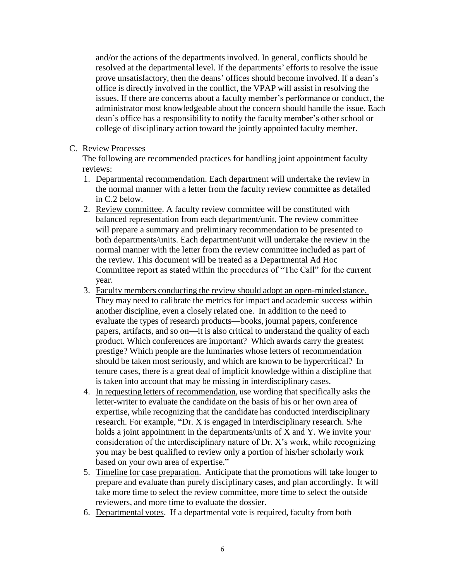and/or the actions of the departments involved. In general, conflicts should be resolved at the departmental level. If the departments' efforts to resolve the issue prove unsatisfactory, then the deans' offices should become involved. If a dean's office is directly involved in the conflict, the VPAP will assist in resolving the issues. If there are concerns about a faculty member's performance or conduct, the administrator most knowledgeable about the concern should handle the issue. Each dean's office has a responsibility to notify the faculty member's other school or college of disciplinary action toward the jointly appointed faculty member.

### C. Review Processes

The following are recommended practices for handling joint appointment faculty reviews:

- 1. Departmental recommendation. Each department will undertake the review in the normal manner with a letter from the faculty review committee as detailed in C.2 below.
- 2. Review committee. A faculty review committee will be constituted with balanced representation from each department/unit. The review committee will prepare a summary and preliminary recommendation to be presented to both departments/units. Each department/unit will undertake the review in the normal manner with the letter from the review committee included as part of the review. This document will be treated as a Departmental Ad Hoc Committee report as stated within the procedures of "The Call" for the current year.
- 3. Faculty members conducting the review should adopt an open-minded stance. They may need to calibrate the metrics for impact and academic success within another discipline, even a closely related one. In addition to the need to evaluate the types of research products—books, journal papers, conference papers, artifacts, and so on—it is also critical to understand the quality of each product. Which conferences are important? Which awards carry the greatest prestige? Which people are the luminaries whose letters of recommendation should be taken most seriously, and which are known to be hypercritical? In tenure cases, there is a great deal of implicit knowledge within a discipline that is taken into account that may be missing in interdisciplinary cases.
- 4. In requesting letters of recommendation, use wording that specifically asks the letter-writer to evaluate the candidate on the basis of his or her own area of expertise, while recognizing that the candidate has conducted interdisciplinary research. For example, "Dr. X is engaged in interdisciplinary research. S/he holds a joint appointment in the departments/units of X and Y. We invite your consideration of the interdisciplinary nature of Dr. X's work, while recognizing you may be best qualified to review only a portion of his/her scholarly work based on your own area of expertise."
- 5. Timeline for case preparation. Anticipate that the promotions will take longer to prepare and evaluate than purely disciplinary cases, and plan accordingly. It will take more time to select the review committee, more time to select the outside reviewers, and more time to evaluate the dossier.
- 6. Departmental votes. If a departmental vote is required, faculty from both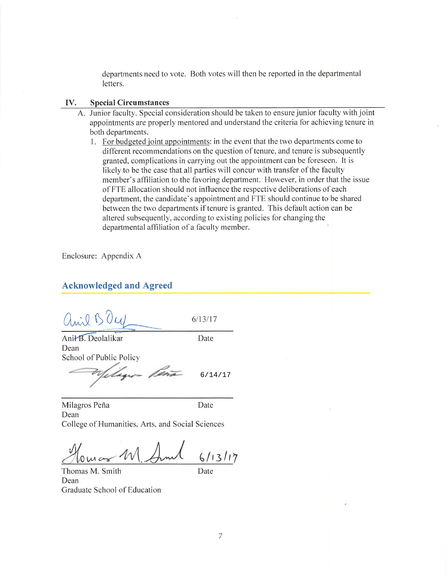departments need to vote. Both votes will then be reported in the departmental letters.

#### **Special Circumstances** IV.

- A. Junior faculty. Special consideration should be taken to ensure junior faculty with joint appointments are properly mentored and understand the criteria for achieving tenure in both departments.
	- 1. For budgeted joint appointments: in the event that the two departments come to different recommendations on the question of tenure, and tenure is subsequently granted, complications in carrying out the appointment can be foreseen. It is likely to be the case that all parties will concur with transfer of the faculty member's affiliation to the favoring department. However, in order that the issue of FTE allocation should not influence the respective deliberations of each department, the candidate's appointment and FTE should continue to be shared between the two departments if tenure is granted. This default action can be altered subsequently, according to existing policies for changing the departmental affiliation of a faculty member.

Enclosure: Appendix A

#### **Acknowledged and Agreed**

anie BOU  $6/13/17$ 

Date

Ani<sup>+</sup>B. Deolalikar Dean School of Public Policy

 $6/14/17$ 

Milagros Peña Date Dean College of Humanities, Arts, and Social Sciences

 $6/13/17$ 

Thomas M. Smith Dean Graduate School of Education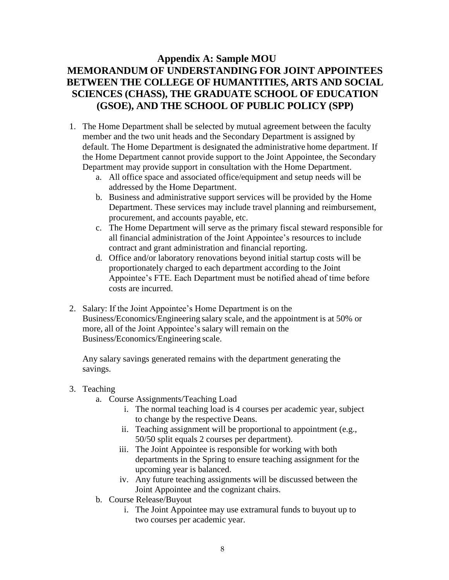# **Appendix A: Sample MOU MEMORANDUM OF UNDERSTANDING FOR JOINT APPOINTEES BETWEEN THE COLLEGE OF HUMANTITIES, ARTS AND SOCIAL SCIENCES (CHASS), THE GRADUATE SCHOOL OF EDUCATION (GSOE), AND THE SCHOOL OF PUBLIC POLICY (SPP)**

- 1. The Home Department shall be selected by mutual agreement between the faculty member and the two unit heads and the Secondary Department is assigned by default. The Home Department is designated the administrative home department. If the Home Department cannot provide support to the Joint Appointee, the Secondary Department may provide support in consultation with the Home Department.
	- a. All office space and associated office/equipment and setup needs will be addressed by the Home Department.
	- b. Business and administrative support services will be provided by the Home Department. These services may include travel planning and reimbursement, procurement, and accounts payable, etc.
	- c. The Home Department will serve as the primary fiscal steward responsible for all financial administration of the Joint Appointee's resources to include contract and grant administration and financial reporting.
	- d. Office and/or laboratory renovations beyond initial startup costs will be proportionately charged to each department according to the Joint Appointee's FTE. Each Department must be notified ahead of time before costs are incurred.
- 2. Salary: If the Joint Appointee's Home Department is on the Business/Economics/Engineering salary scale, and the appointment is at 50% or more, all of the Joint Appointee's salary will remain on the Business/Economics/Engineering scale.

Any salary savings generated remains with the department generating the savings.

- 3. Teaching
	- a. Course Assignments/Teaching Load
		- i. The normal teaching load is 4 courses per academic year, subject to change by the respective Deans.
		- ii. Teaching assignment will be proportional to appointment (e.g., 50/50 split equals 2 courses per department).
		- iii. The Joint Appointee is responsible for working with both departments in the Spring to ensure teaching assignment for the upcoming year is balanced.
		- iv. Any future teaching assignments will be discussed between the Joint Appointee and the cognizant chairs.
	- b. Course Release/Buyout
		- i. The Joint Appointee may use extramural funds to buyout up to two courses per academic year.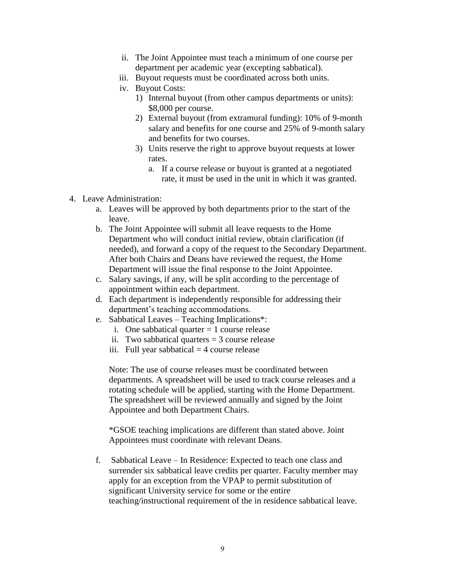- ii. The Joint Appointee must teach a minimum of one course per department per academic year (excepting sabbatical).
- iii. Buyout requests must be coordinated across both units.
- iv. Buyout Costs:
	- 1) Internal buyout (from other campus departments or units): \$8,000 per course.
	- 2) External buyout (from extramural funding): 10% of 9-month salary and benefits for one course and 25% of 9-month salary and benefits for two courses.
	- 3) Units reserve the right to approve buyout requests at lower rates.
		- a. If a course release or buyout is granted at a negotiated rate, it must be used in the unit in which it was granted.
- 4. Leave Administration:
	- a. Leaves will be approved by both departments prior to the start of the leave.
	- b. The Joint Appointee will submit all leave requests to the Home Department who will conduct initial review, obtain clarification (if needed), and forward a copy of the request to the Secondary Department. After both Chairs and Deans have reviewed the request, the Home Department will issue the final response to the Joint Appointee.
	- c. Salary savings, if any, will be split according to the percentage of appointment within each department.
	- d. Each department is independently responsible for addressing their department's teaching accommodations.
	- e. Sabbatical Leaves Teaching Implications\*:
		- i. One sabbatical quarter  $= 1$  course release
		- ii. Two sabbatical quarters  $=$  3 course release
		- iii. Full year sabbatical  $=$  4 course release

Note: The use of course releases must be coordinated between departments. A spreadsheet will be used to track course releases and a rotating schedule will be applied, starting with the Home Department. The spreadsheet will be reviewed annually and signed by the Joint Appointee and both Department Chairs.

\*GSOE teaching implications are different than stated above. Joint Appointees must coordinate with relevant Deans.

f. Sabbatical Leave – In Residence: Expected to teach one class and surrender six sabbatical leave credits per quarter. Faculty member may apply for an exception from the VPAP to permit substitution of significant University service for some or the entire teaching/instructional requirement of the in residence sabbatical leave.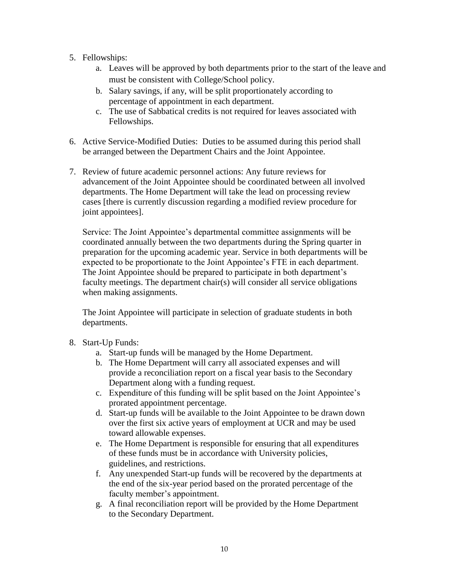- 5. Fellowships:
	- a. Leaves will be approved by both departments prior to the start of the leave and must be consistent with College/School policy.
	- b. Salary savings, if any, will be split proportionately according to percentage of appointment in each department.
	- c. The use of Sabbatical credits is not required for leaves associated with Fellowships.
- 6. Active Service-Modified Duties: Duties to be assumed during this period shall be arranged between the Department Chairs and the Joint Appointee.
- 7. Review of future academic personnel actions: Any future reviews for advancement of the Joint Appointee should be coordinated between all involved departments. The Home Department will take the lead on processing review cases [there is currently discussion regarding a modified review procedure for joint appointees].

Service: The Joint Appointee's departmental committee assignments will be coordinated annually between the two departments during the Spring quarter in preparation for the upcoming academic year. Service in both departments will be expected to be proportionate to the Joint Appointee's FTE in each department. The Joint Appointee should be prepared to participate in both department's faculty meetings. The department chair(s) will consider all service obligations when making assignments.

The Joint Appointee will participate in selection of graduate students in both departments.

- 8. Start-Up Funds:
	- a. Start-up funds will be managed by the Home Department.
	- b. The Home Department will carry all associated expenses and will provide a reconciliation report on a fiscal year basis to the Secondary Department along with a funding request.
	- c. Expenditure of this funding will be split based on the Joint Appointee's prorated appointment percentage.
	- d. Start-up funds will be available to the Joint Appointee to be drawn down over the first six active years of employment at UCR and may be used toward allowable expenses.
	- e. The Home Department is responsible for ensuring that all expenditures of these funds must be in accordance with University policies, guidelines, and restrictions.
	- f. Any unexpended Start-up funds will be recovered by the departments at the end of the six-year period based on the prorated percentage of the faculty member's appointment.
	- g. A final reconciliation report will be provided by the Home Department to the Secondary Department.